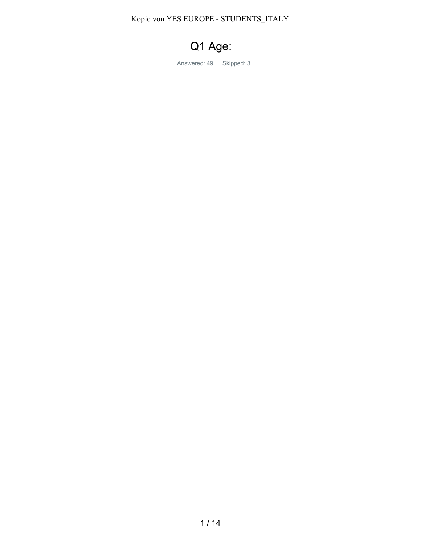Kopie von YES EUROPE - STUDENTS\_ITALY

# Q1 Age:

Answered: 49 Skipped: 3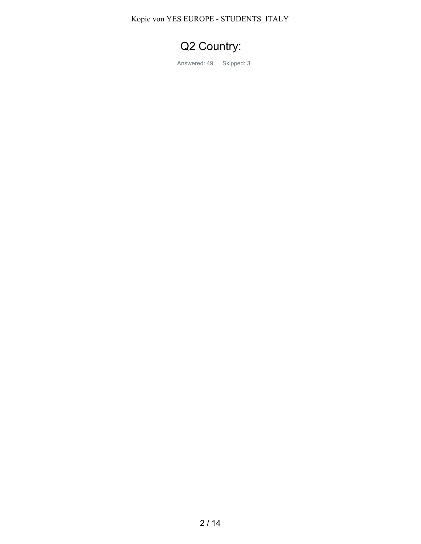Kopie von YES EUROPE - STUDENTS\_ITALY

## Q2 Country:

Answered: 49 Skipped: 3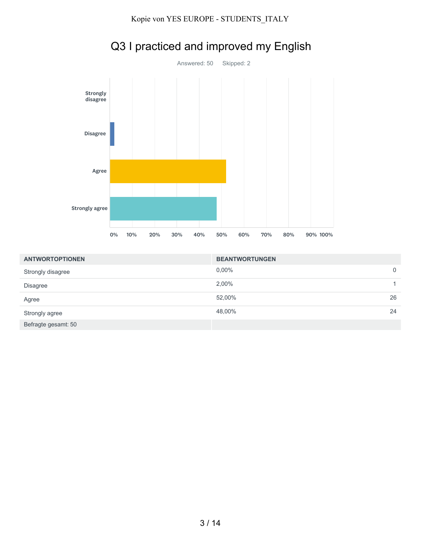

# Q3 I practiced and improved my English

| <b>ANTWORTOPTIONEN</b> | <b>BEANTWORTUNGEN</b> |             |
|------------------------|-----------------------|-------------|
| Strongly disagree      | $0.00\%$              | $\mathbf 0$ |
| <b>Disagree</b>        | 2,00%                 |             |
| Agree                  | 52,00%                | 26          |
| Strongly agree         | 48,00%                | 24          |
| Befragte gesamt: 50    |                       |             |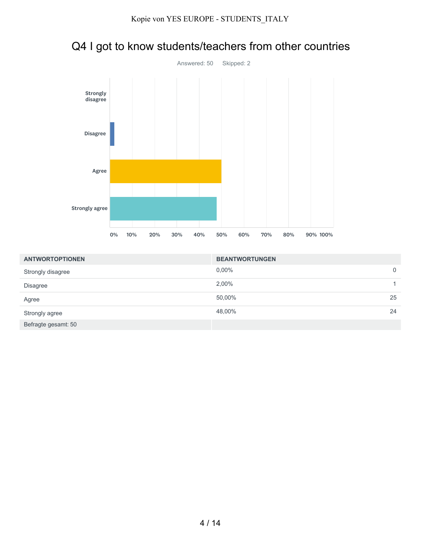

|  |  | Q4 I got to know students/teachers from other countries |
|--|--|---------------------------------------------------------|
|--|--|---------------------------------------------------------|

| <b>ANTWORTOPTIONEN</b> | <b>BEANTWORTUNGEN</b> |    |
|------------------------|-----------------------|----|
| Strongly disagree      | $0.00\%$              | 0  |
| <b>Disagree</b>        | 2,00%                 | 1. |
| Agree                  | 50,00%                | 25 |
| Strongly agree         | 48,00%                | 24 |
| Befragte gesamt: 50    |                       |    |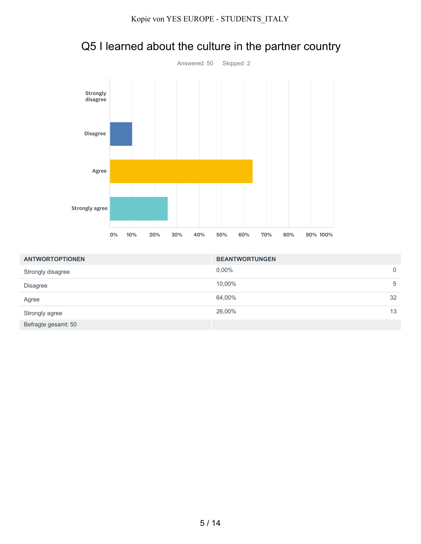

## Q5 I learned about the culture in the partner country

| <b>ANTWORTOPTIONEN</b> | <b>BEANTWORTUNGEN</b> |    |
|------------------------|-----------------------|----|
| Strongly disagree      | $0.00\%$              | 0  |
| <b>Disagree</b>        | 10,00%                | 5  |
| Agree                  | 64,00%                | 32 |
| Strongly agree         | 26,00%                | 13 |
| Befragte gesamt: 50    |                       |    |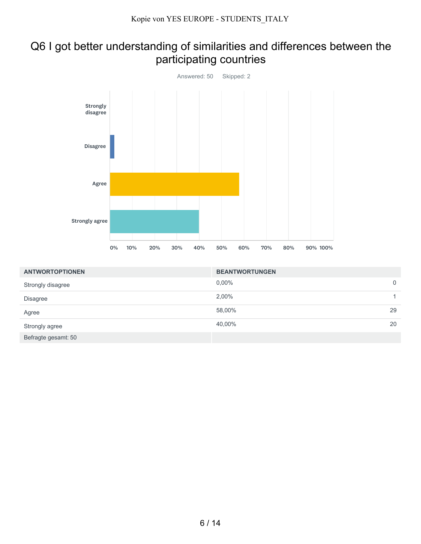#### Q6 I got better understanding of similarities and differences between the participating countries



| <b>ANTWORTOPTIONEN</b> | <b>BEANTWORTUNGEN</b> |             |
|------------------------|-----------------------|-------------|
| Strongly disagree      | $0.00\%$              | $\mathbf 0$ |
| <b>Disagree</b>        | 2,00%                 |             |
| Agree                  | 58,00%                | 29          |
| Strongly agree         | 40,00%                | 20          |
| Befragte gesamt: 50    |                       |             |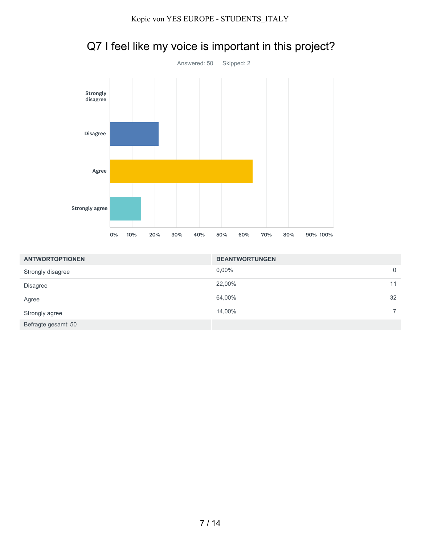

# Q7 I feel like my voice is important in this project?

| <b>ANTWORTOPTIONEN</b> | <b>BEANTWORTUNGEN</b> |    |
|------------------------|-----------------------|----|
| Strongly disagree      | $0.00\%$              | 0  |
| <b>Disagree</b>        | 22,00%                | 11 |
| Agree                  | 64,00%                | 32 |
| Strongly agree         | 14,00%                |    |
| Befragte gesamt: 50    |                       |    |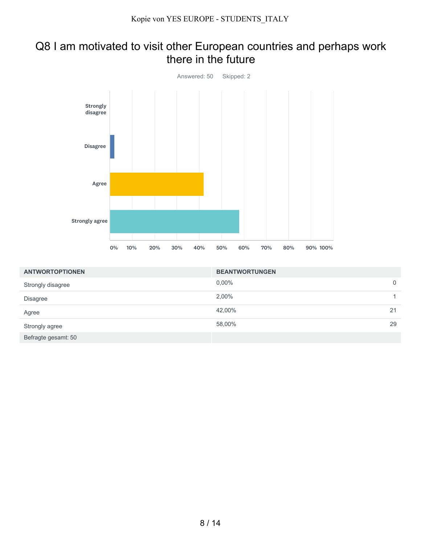#### Q8 I am motivated to visit other European countries and perhaps work there in the future



| <b>ANTWORTOPTIONEN</b> | <b>BEANTWORTUNGEN</b> |             |
|------------------------|-----------------------|-------------|
| Strongly disagree      | $0,00\%$              | $\mathbf 0$ |
| <b>Disagree</b>        | 2,00%                 |             |
| Agree                  | 42,00%                | 21          |
| Strongly agree         | 58,00%                | 29          |
| Befragte gesamt: 50    |                       |             |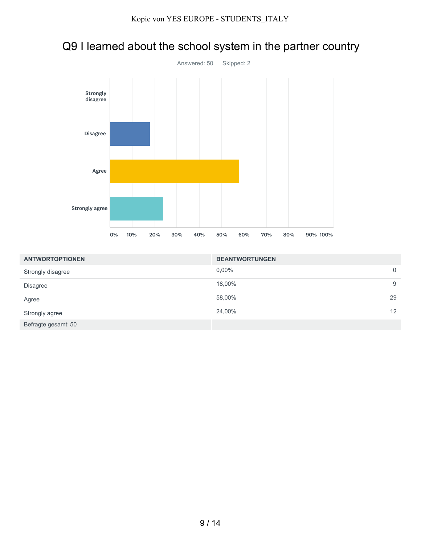



| <b>ANTWORTOPTIONEN</b> | <b>BEANTWORTUNGEN</b> |    |
|------------------------|-----------------------|----|
| Strongly disagree      | $0,00\%$              | 0  |
| <b>Disagree</b>        | 18,00%                | 9  |
| Agree                  | 58,00%                | 29 |
| Strongly agree         | 24,00%                | 12 |
| Befragte gesamt: 50    |                       |    |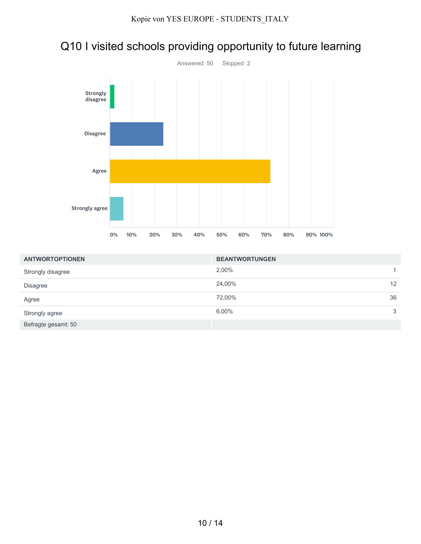



| <b>ANTWORTOPTIONEN</b> | <b>BEANTWORTUNGEN</b> |                 |
|------------------------|-----------------------|-----------------|
| Strongly disagree      | 2,00%                 |                 |
| <b>Disagree</b>        | 24,00%                | 12 <sup>°</sup> |
| Agree                  | 72,00%                | 36              |
| Strongly agree         | 6,00%                 | 3               |
| Befragte gesamt: 50    |                       |                 |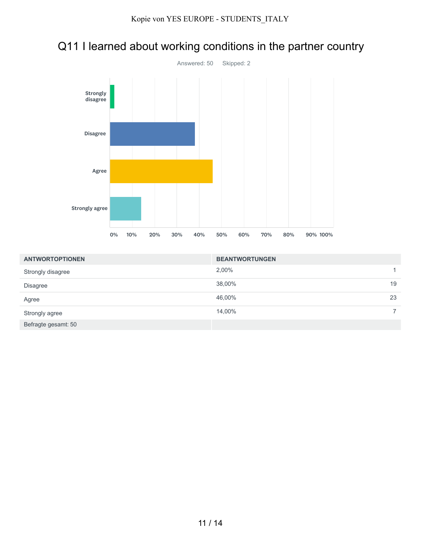#### Q11 I learned about working conditions in the partner country



| <b>ANTWORTOPTIONEN</b> | <b>BEANTWORTUNGEN</b> |    |
|------------------------|-----------------------|----|
| Strongly disagree      | 2,00%                 | 1. |
| <b>Disagree</b>        | 38,00%                | 19 |
| Agree                  | 46,00%                | 23 |
| Strongly agree         | 14,00%                |    |
| Befragte gesamt: 50    |                       |    |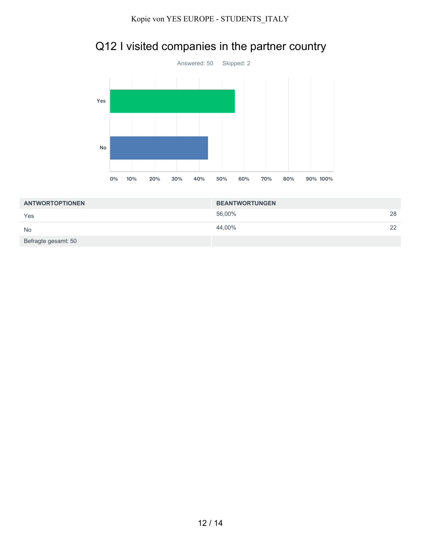

## Q12 I visited companies in the partner country

| <b>ANTWORTOPTIONEN</b> | <b>BEANTWORTUNGEN</b> |    |
|------------------------|-----------------------|----|
| Yes                    | 56,00%                | 28 |
| <b>No</b>              | 44,00%                | 22 |
| Befragte gesamt: 50    |                       |    |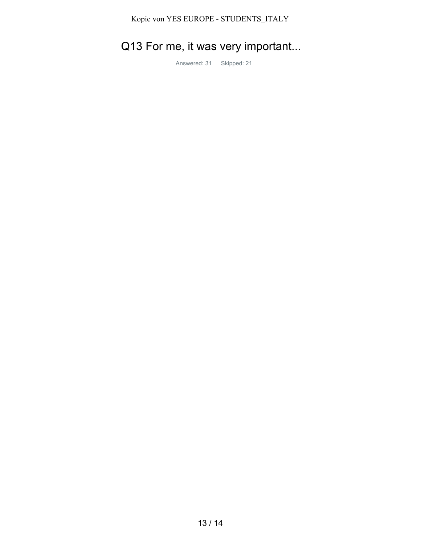#### Kopie von YES EUROPE - STUDENTS\_ITALY

# Q13 For me, it was very important...

Answered: 31 Skipped: 21